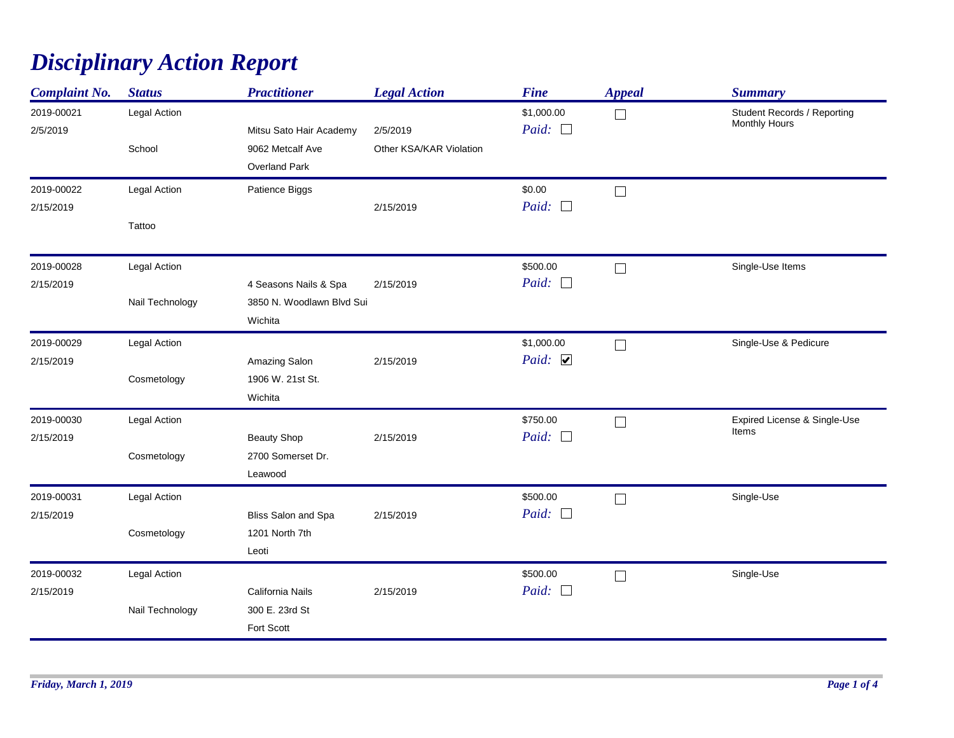## *Disciplinary Action Report*

| <b>Complaint No.</b>    | <b>Status</b>                   | <b>Practitioner</b>                                           | <b>Legal Action</b>                 | <b>Fine</b>                         | <b>Appeal</b> | <b>Summary</b>                               |
|-------------------------|---------------------------------|---------------------------------------------------------------|-------------------------------------|-------------------------------------|---------------|----------------------------------------------|
| 2019-00021<br>2/5/2019  | Legal Action<br>School          | Mitsu Sato Hair Academy<br>9062 Metcalf Ave<br>Overland Park  | 2/5/2019<br>Other KSA/KAR Violation | \$1,000.00<br>Paid: $\Box$          | $\Box$        | Student Records / Reporting<br>Monthly Hours |
| 2019-00022<br>2/15/2019 | Legal Action<br>Tattoo          | Patience Biggs                                                | 2/15/2019                           | \$0.00<br>Paid: $\Box$              | $\Box$        |                                              |
| 2019-00028<br>2/15/2019 | Legal Action<br>Nail Technology | 4 Seasons Nails & Spa<br>3850 N. Woodlawn Blvd Sui<br>Wichita | 2/15/2019                           | \$500.00<br>Paid: $\Box$            | $\Box$        | Single-Use Items                             |
| 2019-00029<br>2/15/2019 | Legal Action<br>Cosmetology     | Amazing Salon<br>1906 W. 21st St.<br>Wichita                  | 2/15/2019                           | \$1,000.00<br>Paid: $\triangledown$ | $\Box$        | Single-Use & Pedicure                        |
| 2019-00030<br>2/15/2019 | Legal Action<br>Cosmetology     | <b>Beauty Shop</b><br>2700 Somerset Dr.<br>Leawood            | 2/15/2019                           | \$750.00<br>Paid: $\Box$            | $\Box$        | Expired License & Single-Use<br>Items        |
| 2019-00031<br>2/15/2019 | Legal Action<br>Cosmetology     | Bliss Salon and Spa<br>1201 North 7th<br>Leoti                | 2/15/2019                           | \$500.00<br>Paid:<br>$\mathcal{L}$  | $\Box$        | Single-Use                                   |
| 2019-00032<br>2/15/2019 | Legal Action<br>Nail Technology | California Nails<br>300 E. 23rd St<br>Fort Scott              | 2/15/2019                           | \$500.00<br>Paid: $\Box$            | $\Box$        | Single-Use                                   |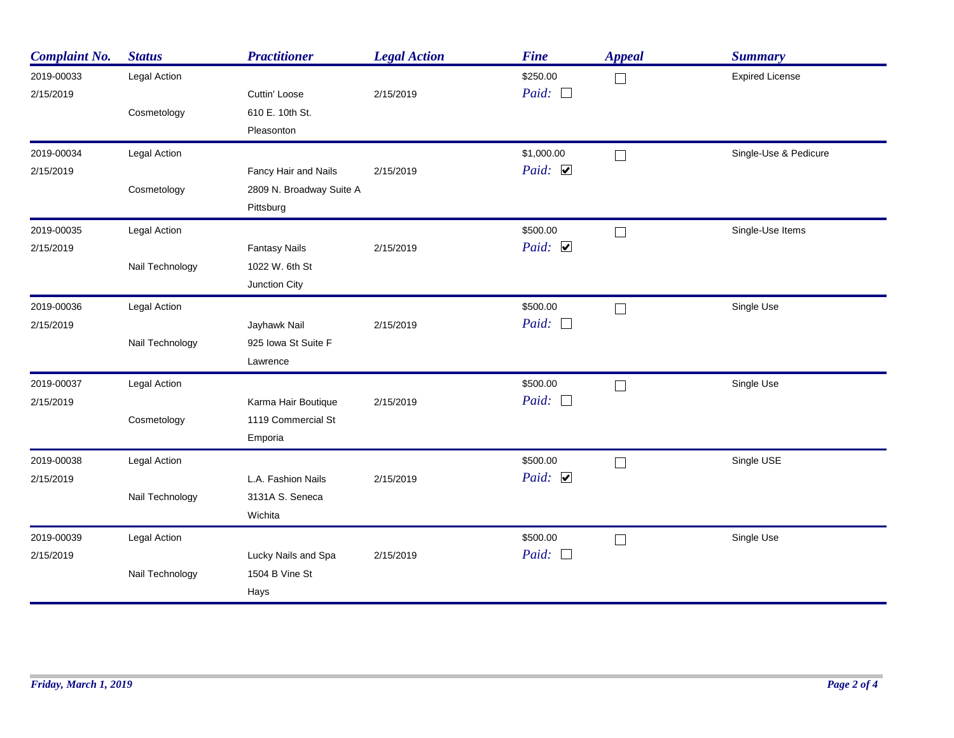| <b>Complaint No.</b> | <b>Status</b>   | <b>Practitioner</b>      | <b>Legal Action</b> | <b>Fine</b>            | <b>Appeal</b> | <b>Summary</b>         |
|----------------------|-----------------|--------------------------|---------------------|------------------------|---------------|------------------------|
| 2019-00033           | Legal Action    |                          |                     | \$250.00               | $\Box$        | <b>Expired License</b> |
| 2/15/2019            |                 | Cuttin' Loose            | 2/15/2019           | Paid: $\Box$           |               |                        |
|                      | Cosmetology     | 610 E. 10th St.          |                     |                        |               |                        |
|                      |                 | Pleasonton               |                     |                        |               |                        |
| 2019-00034           | Legal Action    |                          |                     | \$1,000.00             | $\Box$        | Single-Use & Pedicure  |
| 2/15/2019            |                 | Fancy Hair and Nails     | 2/15/2019           | Paid: $\triangleright$ |               |                        |
|                      | Cosmetology     | 2809 N. Broadway Suite A |                     |                        |               |                        |
|                      |                 | Pittsburg                |                     |                        |               |                        |
| 2019-00035           | Legal Action    |                          |                     | \$500.00               | $\Box$        | Single-Use Items       |
| 2/15/2019            |                 | <b>Fantasy Nails</b>     | 2/15/2019           | Paid: $\triangledown$  |               |                        |
|                      | Nail Technology | 1022 W. 6th St           |                     |                        |               |                        |
|                      |                 | Junction City            |                     |                        |               |                        |
| 2019-00036           | Legal Action    |                          |                     | \$500.00               | $\Box$        | Single Use             |
| 2/15/2019            |                 | Jayhawk Nail             | 2/15/2019           | Paid: $\Box$           |               |                        |
|                      | Nail Technology | 925 Iowa St Suite F      |                     |                        |               |                        |
|                      |                 | Lawrence                 |                     |                        |               |                        |
| 2019-00037           | Legal Action    |                          |                     | \$500.00               | $\Box$        | Single Use             |
| 2/15/2019            |                 | Karma Hair Boutique      | 2/15/2019           | Paid: $\Box$           |               |                        |
|                      | Cosmetology     | 1119 Commercial St       |                     |                        |               |                        |
|                      |                 | Emporia                  |                     |                        |               |                        |
| 2019-00038           | Legal Action    |                          |                     | \$500.00               | $\Box$        | Single USE             |
| 2/15/2019            |                 | L.A. Fashion Nails       | 2/15/2019           | Paid: $\triangledown$  |               |                        |
|                      | Nail Technology | 3131A S. Seneca          |                     |                        |               |                        |
|                      |                 | Wichita                  |                     |                        |               |                        |
| 2019-00039           | Legal Action    |                          |                     | \$500.00               | $\Box$        | Single Use             |
| 2/15/2019            |                 | Lucky Nails and Spa      | 2/15/2019           | Paid: $\Box$           |               |                        |
|                      | Nail Technology | 1504 B Vine St           |                     |                        |               |                        |
|                      |                 | Hays                     |                     |                        |               |                        |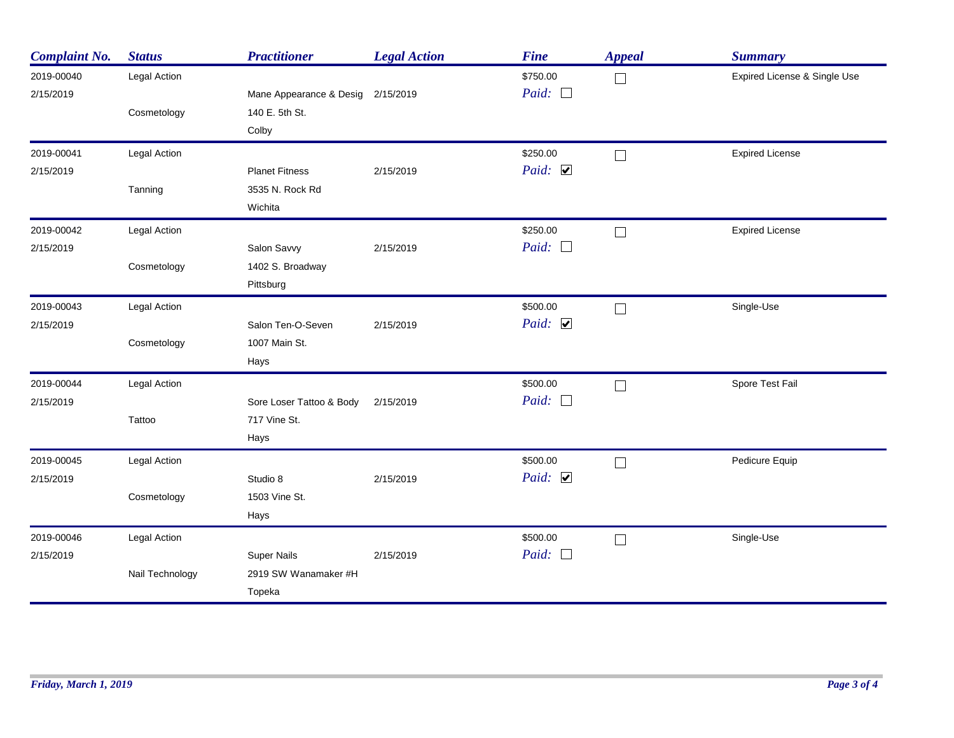| <b>Complaint No.</b> | <b>Status</b>       | <b>Practitioner</b>               | <b>Legal Action</b> | <b>Fine</b>           | <b>Appeal</b> | <b>Summary</b>               |
|----------------------|---------------------|-----------------------------------|---------------------|-----------------------|---------------|------------------------------|
| 2019-00040           | Legal Action        |                                   |                     | \$750.00              | $\Box$        | Expired License & Single Use |
| 2/15/2019            |                     | Mane Appearance & Desig 2/15/2019 |                     | Paid: $\Box$          |               |                              |
|                      | Cosmetology         | 140 E. 5th St.                    |                     |                       |               |                              |
|                      |                     | Colby                             |                     |                       |               |                              |
| 2019-00041           | Legal Action        |                                   |                     | \$250.00              | $\Box$        | <b>Expired License</b>       |
| 2/15/2019            |                     | <b>Planet Fitness</b>             | 2/15/2019           | Paid: $\triangledown$ |               |                              |
|                      | Tanning             | 3535 N. Rock Rd                   |                     |                       |               |                              |
|                      |                     | Wichita                           |                     |                       |               |                              |
| 2019-00042           | <b>Legal Action</b> |                                   |                     | \$250.00              | $\Box$        | <b>Expired License</b>       |
| 2/15/2019            |                     | Salon Savvy                       | 2/15/2019           | Paid: $\Box$          |               |                              |
|                      | Cosmetology         | 1402 S. Broadway                  |                     |                       |               |                              |
|                      |                     | Pittsburg                         |                     |                       |               |                              |
| 2019-00043           | Legal Action        |                                   |                     | \$500.00              | $\Box$        | Single-Use                   |
| 2/15/2019            |                     | Salon Ten-O-Seven                 | 2/15/2019           | Paid: $\triangledown$ |               |                              |
|                      | Cosmetology         | 1007 Main St.                     |                     |                       |               |                              |
|                      |                     | Hays                              |                     |                       |               |                              |
| 2019-00044           | <b>Legal Action</b> |                                   |                     | \$500.00              | $\Box$        | Spore Test Fail              |
| 2/15/2019            |                     | Sore Loser Tattoo & Body          | 2/15/2019           | Paid: $\Box$          |               |                              |
|                      | Tattoo              | 717 Vine St.                      |                     |                       |               |                              |
|                      |                     | Hays                              |                     |                       |               |                              |
| 2019-00045           | Legal Action        |                                   |                     | \$500.00              | $\Box$        | Pedicure Equip               |
| 2/15/2019            |                     | Studio 8                          | 2/15/2019           | Paid: $\triangledown$ |               |                              |
|                      | Cosmetology         | 1503 Vine St.                     |                     |                       |               |                              |
|                      |                     | Hays                              |                     |                       |               |                              |
| 2019-00046           | <b>Legal Action</b> |                                   |                     | \$500.00              | $\Box$        | Single-Use                   |
| 2/15/2019            |                     | <b>Super Nails</b>                | 2/15/2019           | Paid: $\Box$          |               |                              |
|                      | Nail Technology     | 2919 SW Wanamaker #H              |                     |                       |               |                              |
|                      |                     | Topeka                            |                     |                       |               |                              |